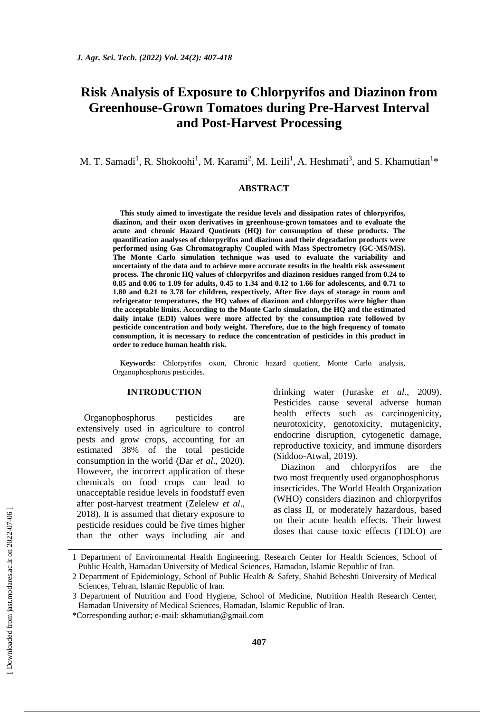# **Risk Analysis of Exposure to Chlorpyrifos and Diazinon from Greenhouse-Grown Tomatoes during Pre-Harvest Interval and Post-Harvest Processing**

M. T. Samadi<sup>1</sup>, R. Shokoohi<sup>1</sup>, M. Karami<sup>2</sup>, M. Leili<sup>1</sup>, A. Heshmati<sup>3</sup>, and S. Khamutian<sup>1\*</sup>

## **ABSTRACT**

**This study aimed to investigate the residue levels and dissipation rates of chlorpyrifos, diazinon, and their oxon derivatives in greenhouse-grown tomatoes and to evaluate the acute and chronic Hazard Quotients (HQ) for consumption of these products. The quantification analyses of chlorpyrifos and diazinon and their degradation products were performed using Gas Chromatography Coupled with Mass Spectrometry (GC-MS/MS). The Monte Carlo simulation technique was used to evaluate the variability and uncertainty of the data and to achieve more accurate results in the health risk assessment process. The chronic HQ values of chlorpyrifos and diazinon residues ranged from 0.24 to 0.85 and 0.06 to 1.09 for adults, 0.45 to 1.34 and 0.12 to 1.66 for adolescents, and 0.71 to 1.80 and 0.21 to 3.78 for children, respectively. After five days of storage in room and refrigerator temperatures, the HQ values of diazinon and chlorpyrifos were higher than the acceptable limits. According to the Monte Carlo simulation, the HQ and the estimated daily intake (EDI) values were more affected by the consumption rate followed by pesticide concentration and body weight. Therefore, due to the high frequency of tomato consumption, it is necessary to reduce the concentration of pesticides in this product in order to reduce human health risk.**

**Keywords:** Chlorpyrifos oxon, Chronic hazard quotient, Monte Carlo analysis, Organophosphorus pesticides.

## **INTRODUCTION**

Organophosphorus pesticides are extensively used in agriculture to control pests and grow crops, accounting for an estimated 38% of the total pesticide consumption in the world (Dar *et al*., 2020). However, the incorrect application of these chemicals on food crops can lead to unacceptable residue levels in foodstuff even after post-harvest treatment (Zelelew *et al*., 2018). It is assumed that dietary exposure to pesticide residues could be five times higher than the other ways including air and drinking water (Juraske *et al*., 2009). Pesticides cause several adverse human health effects such as carcinogenicity, neurotoxicity, genotoxicity, mutagenicity, endocrine disruption, cytogenetic damage, reproductive toxicity, and immune disorders (Siddoo-Atwal, 2019).

Diazinon and chlorpyrifos are the two most frequently used organophosphorus insecticides. The World Health Organization (WHO) considers diazinon and chlorpyrifos as class II, or moderately hazardous, based on their acute health effects. Their lowest doses that cause toxic effects (TDLO) are

<sup>1</sup> Department of Environmental Health Engineering, Research Center for Health Sciences, School of Public Health, Hamadan University of Medical Sciences, Hamadan, Islamic Republic of Iran.

<sup>2</sup> Department of Epidemiology, School of Public Health & Safety, Shahid Beheshti University of Medical Sciences, Tehran, Islamic Republic of Iran.

<sup>3</sup> Department of Nutrition and Food Hygiene, School of Medicine, Nutrition Health Research Center, Hamadan University of Medical Sciences, Hamadan, Islamic Republic of Iran.

<sup>\*</sup>Corresponding author; e-mail: [skhamutian@gmail.com](mailto:skhamutian@gmail.com)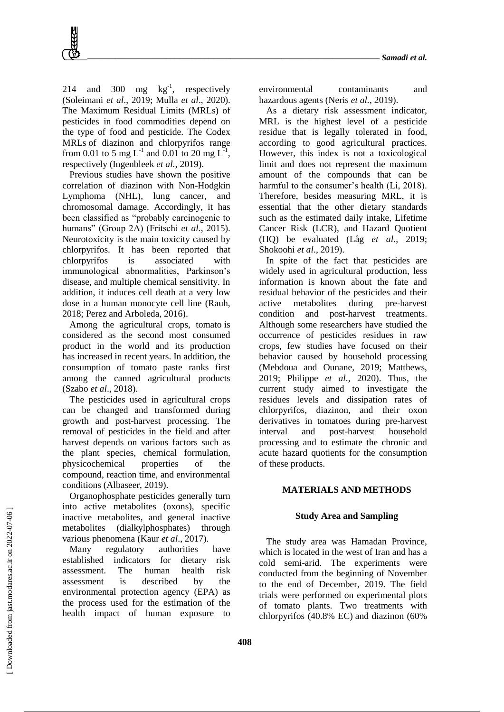214 and 300 mg  $\text{kg}^{-1}$ , respectively (Soleimani *et al*., 2019; Mulla *et al*., 2020). The Maximum Residual Limits (MRLs) of pesticides in food commodities depend on the type of food and pesticide. The Codex MRLs of diazinon and chlorpyrifos range from 0.01 to 5 mg L<sup>-1</sup> and 0.01 to 20 mg L<sup>-1</sup>, respectively (Ingenbleek *et al.*, 2019).

Previous studies have shown the positive correlation of diazinon with Non-Hodgkin Lymphoma (NHL), lung cancer, and chromosomal damage. Accordingly, it has been classified as "probably carcinogenic to humans" (Group 2A) (Fritschi *et al.*, 2015). Neurotoxicity is the main toxicity caused by chlorpyrifos. It has been reported that chlorpyrifos is associated with immunological abnormalities, Parkinson's disease, and multiple chemical sensitivity. In addition, it induces cell death at a very low dose in a human monocyte cell line (Rauh, 2018; Perez and Arboleda, 2016).

Among the agricultural crops, tomato is considered as the second most consumed product in the world and its production has increased in recent years. In addition, the consumption of tomato paste ranks first among the canned agricultural products (Szabo *et al*., 2018).

The pesticides used in agricultural crops can be changed and transformed during growth and post-harvest processing. The removal of pesticides in the field and after harvest depends on various factors such as the plant species, chemical formulation, physicochemical properties of the compound, reaction time, and environmental conditions (Albaseer, 2019).

Organophosphate pesticides generally turn into active metabolites (oxons), specific inactive metabolites, and general inactive metabolites (dialkylphosphates) through various phenomena (Kaur *et al*., 2017).

Many regulatory authorities have established indicators for dietary risk assessment. The human health risk assessment is described by the environmental protection agency (EPA) as the process used for the estimation of the health impact of human exposure to environmental contaminants and hazardous agents (Neris *et al.*, 2019).

As a dietary risk assessment indicator, MRL is the highest level of a pesticide residue that is legally tolerated in food, according to good agricultural practices. However, this index is not a toxicological limit and does not represent the maximum amount of the compounds that can be harmful to the consumer's health (Li, 2018). Therefore, besides measuring MRL, it is essential that the other dietary standards such as the estimated daily intake, Lifetime Cancer Risk (LCR), and Hazard Quotient (HQ) be evaluated (Låg *et al*., 2019; Shokoohi *et al*., 2019).

In spite of the fact that pesticides are widely used in agricultural production, less information is known about the fate and residual behavior of the pesticides and their active metabolites during pre-harvest condition and post-harvest treatments. Although some researchers have studied the occurrence of pesticides residues in raw crops, few studies have focused on their behavior caused by household processing (Mebdoua and Ounane, 2019; Matthews, 2019; Philippe *et al*., 2020). Thus, the current study aimed to investigate the residues levels and dissipation rates of chlorpyrifos, diazinon, and their oxon derivatives in tomatoes during pre-harvest interval and post-harvest household processing and to estimate the chronic and acute hazard quotients for the consumption of these products.

# **MATERIALS AND METHODS**

# **Study Area and Sampling**

The study area was Hamadan Province, which is located in the west of Iran and has a cold semi-arid. The experiments were conducted from the beginning of November to the end of December, 2019. The field trials were performed on experimental plots of tomato plants. Two treatments with chlorpyrifos (40.8% EC) and diazinon (60%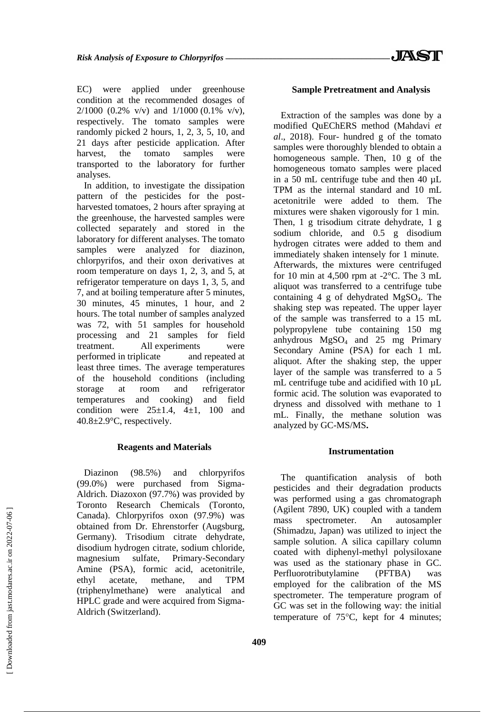EC) were applied under greenhouse condition at the recommended dosages of  $2/1000$  (0.2% v/v) and  $1/1000$  (0.1% v/v), respectively. The tomato samples were randomly picked 2 hours, 1, 2, 3, 5, 10, and 21 days after pesticide application. After harvest, the tomato samples were transported to the laboratory for further analyses.

In addition, to investigate the dissipation pattern of the pesticides for the postharvested tomatoes, 2 hours after spraying at the greenhouse, the harvested samples were collected separately and stored in the laboratory for different analyses. The tomato samples were analyzed for diazinon, chlorpyrifos, and their oxon derivatives at room temperature on days 1, 2, 3, and 5, at refrigerator temperature on days 1, 3, 5, and 7, and at boiling temperature after 5 minutes, 30 minutes, 45 minutes, 1 hour, and 2 hours. The total number of samples analyzed was 72, with 51 samples for household processing and 21 samples for field treatment. All experiments were performed in triplicate and repeated at least three times. The average temperatures of the household conditions (including storage at room and refrigerator temperatures and cooking) and field condition were  $25\pm1.4$ ,  $4\pm1$ ,  $100$  and 40.8±2.9°C, respectively.

#### **Reagents and Materials**

Diazinon (98.5%) and chlorpyrifos (99.0%) were purchased from Sigma-Aldrich. Diazoxon (97.7%) was provided by Toronto Research Chemicals (Toronto, Canada). Chlorpyrifos oxon (97.9%) was obtained from Dr. Ehrenstorfer (Augsburg, Germany). Trisodium citrate dehydrate, disodium hydrogen citrate, sodium chloride, magnesium sulfate, Primary-Secondary Amine (PSA), formic acid, acetonitrile, ethyl acetate, methane, and TPM (triphenylmethane) were analytical and HPLC grade and were acquired from Sigma-Aldrich (Switzerland).

## **Sample Pretreatment and Analysis**

Extraction of the samples was done by a modified QuEChERS method (Mahdavi *et al*., 2018). Four- hundred g of the tomato samples were thoroughly blended to obtain a homogeneous sample. Then, 10 g of the homogeneous tomato samples were placed in a 50 mL centrifuge tube and then 40 µL TPM as the internal standard and 10 mL acetonitrile were added to them. The mixtures were shaken vigorously for 1 min. Then, 1 g trisodium citrate dehydrate, 1 g sodium chloride, and 0.5 g disodium hydrogen citrates were added to them and immediately shaken intensely for 1 minute. Afterwards, the mixtures were centrifuged for 10 min at 4,500 rpm at  $-2$ °C. The 3 mL aliquot was transferred to a centrifuge tube containing  $4 \text{ g}$  of dehydrated MgSO<sub>4</sub>. The shaking step was repeated. The upper layer of the sample was transferred to a 15 mL polypropylene tube containing 150 mg anhydrous MgSO<sup>4</sup> and 25 mg Primary Secondary Amine (PSA) for each 1 mL aliquot. After the shaking step, the upper layer of the sample was transferred to a 5 mL centrifuge tube and acidified with 10  $\mu$ L formic acid. The solution was evaporated to dryness and dissolved with methane to 1 mL. Finally, the methane solution was analyzed by GC-MS/MS**.**

# **Instrumentation**

The quantification analysis of both pesticides and their degradation products was performed using a gas chromatograph (Agilent 7890, UK) coupled with a tandem mass spectrometer. An autosampler (Shimadzu, Japan) was utilized to inject the sample solution. A silica capillary column coated with diphenyl-methyl polysiloxane was used as the stationary phase in GC. Perfluorotributylamine (PFTBA) was employed for the calibration of the MS spectrometer. The temperature program of GC was set in the following way: the initial temperature of  $75^{\circ}$ C, kept for 4 minutes;

 [\[ Downloaded from jast.modares.ac.ir on 2](https://jast.modares.ac.ir/article-23-43318-en.html)022-07-06 ] Downloaded from jast.modares.ac.ir on 2022-07-06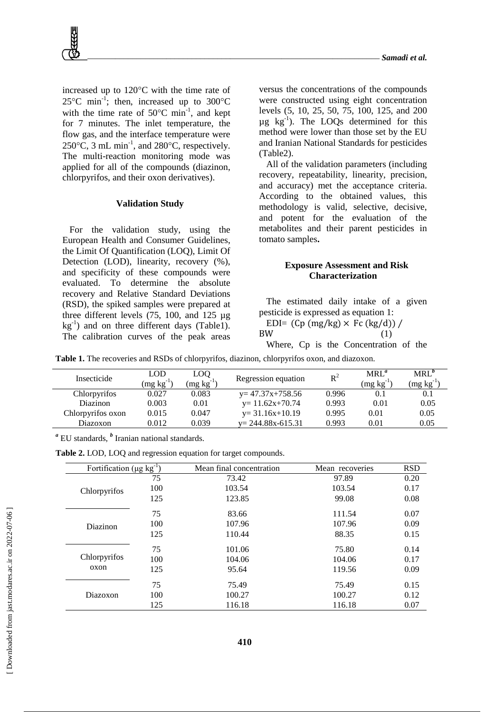increased up to  $120^{\circ}$ C with the time rate of 25 °C min<sup>-1</sup>; then, increased up to 300 °C with the time rate of  $50^{\circ}$ C min<sup>-1</sup>, and kept for 7 minutes. The inlet temperature, the flow gas, and the interface temperature were  $250^{\circ}$ C, 3 mL min<sup>-1</sup>, and  $280^{\circ}$ C, respectively. The multi-reaction monitoring mode was applied for all of the compounds (diazinon, chlorpyrifos, and their oxon derivatives).

#### **Validation Study**

For the validation study, using the European Health and Consumer Guidelines, the Limit Of Quantification (LOQ), Limit Of Detection (LOD), linearity, recovery (%), and specificity of these compounds were evaluated. To determine the absolute recovery and Relative Standard Deviations (RSD), the spiked samples were prepared at three different levels (75, 100, and 125 µg  $kg^{-1}$ ) and on three different days (Table1). The calibration curves of the peak areas

versus the concentrations of the compounds were constructed using eight concentration levels (5, 10, 25, 50, 75, 100, 125, and 200  $\mu$ g kg<sup>-1</sup>). The LOQs determined for this method were lower than those set by the EU and Iranian National Standards for pesticides (Table2).

All of the validation parameters (including recovery, repeatability, linearity, precision, and accuracy) met the acceptance criteria. According to the obtained values, this methodology is valid, selective, decisive, and potent for the evaluation of the metabolites and their parent pesticides in tomato samples**.**

## **Exposure Assessment and Risk Characterization**

The estimated daily intake of a given pesticide is expressed as equation 1: EDI=  $(Cp (mg/kg) \times Fc (kg/d))$  /  $BW$  (1)

Where, Cp is the Concentration of the

**Table 1.** The recoveries and RSDs of chlorpyrifos, diazinon, chlorpyrifos oxon, and diazoxon.

| Insecticide       | LOD<br>$\text{mg kg}^{-1}$ | LOO<br>$(mg kg^{-1})$ | Regression equation    | $R^2$ | MRL <sup>a</sup><br>$(mg kg^{-1})$ | MRL <sup>p</sup><br>$\text{mg kg}^{-1}$ |
|-------------------|----------------------------|-----------------------|------------------------|-------|------------------------------------|-----------------------------------------|
| Chlorpyrifos      | 0.027                      | 0.083                 | $y=47.37x+758.56$      | 0.996 | 0.1                                | 0.1                                     |
| <b>Diazinon</b>   | 0.003                      | 0.01                  | $y=11.62x+70.74$       | 0.993 | 0.01                               | 0.05                                    |
| Chlorpyrifos oxon | 0.015                      | 0.047                 | $y=31.16x+10.19$       | 0.995 | 0.01                               | 0.05                                    |
| Diazoxon          | 0.012                      | 0.039                 | $v = 244.88x - 615.31$ | 0.993 | 0.01                               | 0.05                                    |

*<sup>a</sup>* EU standards, *<sup>b</sup>* Iranian national standards.

**Table 2.** LOD, LOQ and regression equation for target compounds.

| Fortification ( $\mu$ g kg <sup>-1</sup> ) |     | Mean final concentration | Mean recoveries | <b>RSD</b> |  |
|--------------------------------------------|-----|--------------------------|-----------------|------------|--|
|                                            | 75  | 73.42                    | 97.89           | 0.20       |  |
| Chlorpyrifos                               | 100 | 103.54                   | 103.54          | 0.17       |  |
|                                            | 125 | 123.85                   | 99.08           | 0.08       |  |
|                                            | 75  | 83.66                    | 111.54          | 0.07       |  |
| Diazinon                                   | 100 | 107.96                   | 107.96          | 0.09       |  |
|                                            | 125 | 110.44                   | 88.35           | 0.15       |  |
|                                            | 75  | 101.06                   | 75.80           | 0.14       |  |
| Chlorpyrifos                               | 100 | 104.06                   | 104.06          | 0.17       |  |
| oxon                                       | 125 | 95.64                    | 119.56          | 0.09       |  |
|                                            | 75  | 75.49                    | 75.49           | 0.15       |  |
| Diazoxon                                   | 100 | 100.27                   | 100.27          | 0.12       |  |
|                                            | 125 | 116.18                   | 116.18          | 0.07       |  |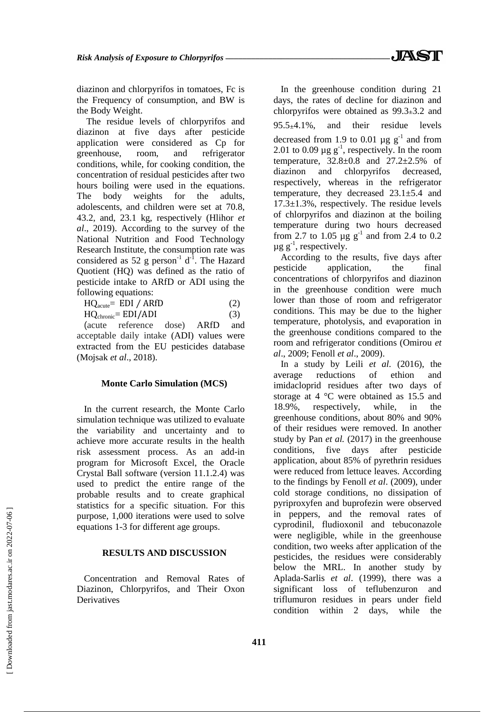diazinon and chlorpyrifos in tomatoes, Fc is the Frequency of consumption, and BW is the Body Weight.

The residue levels of chlorpyrifos and diazinon at five days after pesticide application were considered as Cp for greenhouse, room, and refrigerator conditions, while, for cooking condition, the concentration of residual pesticides after two hours boiling were used in the equations. The body weights for the adults, adolescents, and children were set at 70.8, 43.2, and, 23.1 kg, respectively (Hlihor *et al*., 2019). According to the survey of the National Nutrition and Food Technology Research Institute, the consumption rate was considered as 52 g person<sup>-1</sup>  $d^{-1}$ . The Hazard Quotient (HQ) was defined as the ratio of pesticide intake to ARfD or ADI using the following equations:

| $HQ_{acute} = EDI / ARfD$       | (2) |
|---------------------------------|-----|
| $HQ_{\text{chronic}} = EDI/ADI$ | (3) |

(acute reference dose) ARfD and acceptable daily intake (ADI) values were extracted from the EU pesticides database (Mojsak *et al*., 2018).

# **Monte Carlo Simulation (MCS)**

In the current research, the Monte Carlo simulation technique was utilized to evaluate the variability and uncertainty and to achieve more accurate results in the health risk assessment process. As an add-in program for Microsoft Excel, the Oracle Crystal Ball software (version 11.1.2.4) was used to predict the entire range of the probable results and to create graphical statistics for a specific situation. For this purpose, 1,000 iterations were used to solve equations 1-3 for different age groups.

## **RESULTS AND DISCUSSION**

Concentration and Removal Rates of Diazinon, Chlorpyrifos, and Their Oxon Derivatives

In the greenhouse condition during 21 days, the rates of decline for diazinon and chlorpyrifos were obtained as  $99.3 \pm 3.2$  and  $95.5 \pm 4.1\%$ , and their residue levels decreased from 1.9 to 0.01  $\mu$ g g<sup>-1</sup> and from 2.01 to 0.09  $\mu$ g g<sup>-1</sup>, respectively. In the room temperature, 32.8±0.8 and 27.2±2.5% of diazinon and chlorpyrifos decreased, respectively, whereas in the refrigerator temperature, they decreased  $23.1 \pm 5.4$  and 17.3±1.3%, respectively. The residue levels of chlorpyrifos and diazinon at the boiling temperature during two hours decreased from 2.7 to 1.05  $\mu$ g g<sup>-1</sup> and from 2.4 to 0.2  $\mu$ g g<sup>-1</sup>, respectively.

According to the results, five days after pesticide application, the final concentrations of chlorpyrifos and diazinon in the greenhouse condition were much lower than those of room and refrigerator conditions. This may be due to the higher temperature, photolysis, and evaporation in the greenhouse conditions compared to the room and refrigerator conditions (Omirou *et al*., 2009; Fenoll *et al*., 2009).

In a study by Leili *et al.* (2016), the average reductions of ethion and imidacloprid residues after two days of storage at 4 °C were obtained as 15.5 and 18.9%, respectively, while, in the greenhouse conditions, about 80% and 90% of their residues were removed. In another study by Pan *et al.* (2017) in the greenhouse conditions, five days after pesticide application, about 85% of pyrethrin residues were reduced from lettuce leaves. According to the findings by Fenoll *et al*. (2009), under cold storage conditions, no dissipation of pyriproxyfen and buprofezin were observed in peppers, and the removal rates of cyprodinil, fludioxonil and tebuconazole were negligible, while in the greenhouse condition, two weeks after application of the pesticides, the residues were considerably below the MRL. In another study by Aplada-Sarlis *et al*. (1999), there was a significant loss of teflubenzuron and triflumuron residues in pears under field condition within 2 days, while the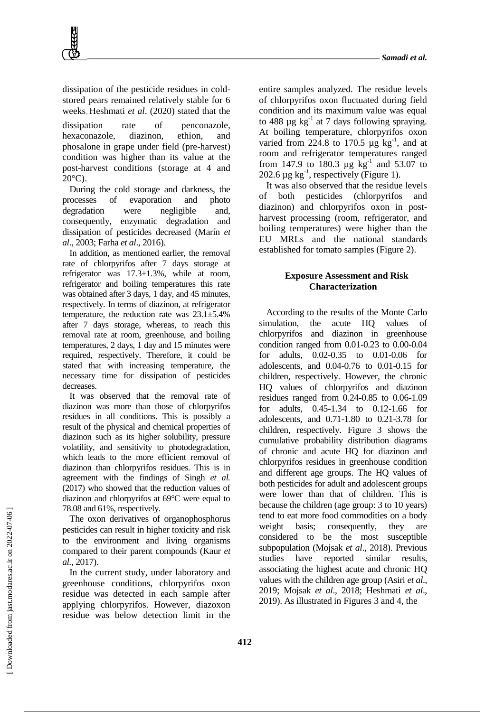dissipation of the pesticide residues in coldstored pears remained relatively stable for 6 weeks Heshmati *et al*. (2020) stated that the

dissipation rate of penconazole, hexaconazole, diazinon, ethion, and phosalone in grape under field (pre-harvest) condition was higher than its value at the post-harvest conditions (storage at 4 and  $20^{\circ}$ C).

During the cold storage and darkness, the processes of evaporation and photo degradation were negligible and, consequently, enzymatic degradation and dissipation of pesticides decreased (Marín *et al*., 2003; Farha *et al*., 2016).

In addition, as mentioned earlier, the removal rate of chlorpyrifos after 7 days storage at refrigerator was 17.3±1.3%, while at room, refrigerator and boiling temperatures this rate was obtained after 3 days, 1 day, and 45 minutes, respectively. In terms of diazinon, at refrigerator temperature, the reduction rate was  $23.1 \pm 5.4\%$ after 7 days storage, whereas, to reach this removal rate at room, greenhouse, and boiling temperatures, 2 days, 1 day and 15 minutes were required, respectively. Therefore, it could be stated that with increasing temperature, the necessary time for dissipation of pesticides decreases.

It was observed that the removal rate of diazinon was more than those of chlorpyrifos residues in all conditions. This is possibly a result of the physical and chemical properties of diazinon such as its higher solubility, pressure volatility, and sensitivity to photodegradation, which leads to the more efficient removal of diazinon than chlorpyrifos residues. This is in agreement with the findings of Singh *et al.* (2017) who showed that the reduction values of diazinon and chlorpyrifos at 69°C were equal to 78.08 and 61%, respectively.

The oxon derivatives of organophosphorus pesticides can result in higher toxicity and risk to the environment and living organisms compared to their parent compounds (Kaur *et al.*, 2017).

In the current study, under laboratory and greenhouse conditions, chlorpyrifos oxon residue was detected in each sample after applying chlorpyrifos. However, diazoxon residue was below detection limit in the

entire samples analyzed. The residue levels of chlorpyrifos oxon fluctuated during field condition and its maximum value was equal to 488  $\mu$ g kg<sup>-1</sup> at 7 days following spraying. At boiling temperature, chlorpyrifos oxon varied from 224.8 to 170.5  $\mu$ g kg<sup>-1</sup>, and at room and refrigerator temperatures ranged from 147.9 to 180.3  $\mu$ g kg<sup>-1</sup> and 53.07 to 202.6  $\mu$ g kg<sup>-1</sup>, respectively (Figure 1).

It was also observed that the residue levels of both pesticides (chlorpyrifos and diazinon) and chlorpyrifos oxon in postharvest processing (room, refrigerator, and boiling temperatures) were higher than the EU MRLs and the national standards established for tomato samples (Figure 2).

# **Exposure Assessment and Risk Characterization**

According to the results of the Monte Carlo simulation, the acute HO values of chlorpyrifos and diazinon in greenhouse condition ranged from 0.01-0.23 to 0.00-0.04 for adults, 0.02-0.35 to 0.01-0.06 for adolescents, and 0.04-0.76 to 0.01-0.15 for children, respectively. However, the chronic HQ values of chlorpyrifos and diazinon residues ranged from 0.24-0.85 to 0.06-1.09 for adults, 0.45-1.34 to 0.12-1.66 for adolescents, and 0.71-1.80 to 0.21-3.78 for children, respectively. Figure 3 shows the cumulative probability distribution diagrams of chronic and acute HQ for diazinon and chlorpyrifos residues in greenhouse condition and different age groups. The HQ values of both pesticides for adult and adolescent groups were lower than that of children. This is because the children (age group: 3 to 10 years) tend to eat more food commodities on a body weight basis; consequently, they are considered to be the most susceptible subpopulation (Mojsak *et al*., 2018). Previous studies have reported similar results, associating the highest acute and chronic HQ values with the children age group (Asiri *et al*., 2019; Mojsak *et al*., 2018; Heshmati *et al*., 2019). As illustrated in Figures 3 and 4, the

 [\[ Downloaded from jast.modares.ac.ir on 2](https://jast.modares.ac.ir/article-23-43318-en.html)022-07-06 ] Downloaded from jast.modares.ac.ir on 2022-07-06]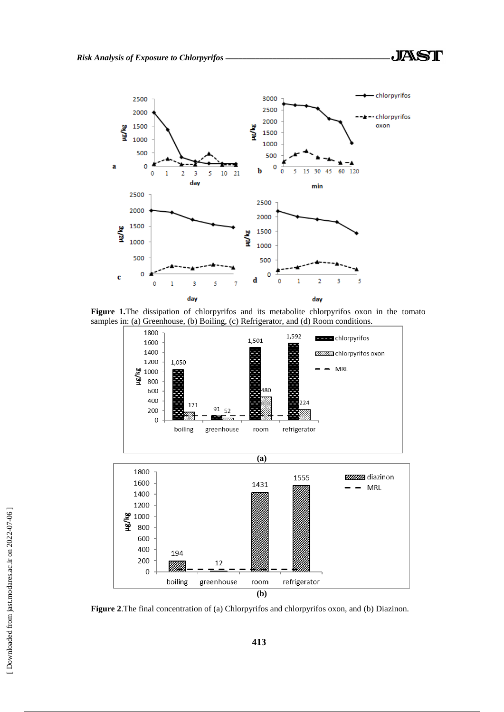



**Figure 1.**The dissipation of chlorpyrifos and its metabolite chlorpyrifos oxon in the tomato samples in: (a) Greenhouse, (b) Boiling, (c) Refrigerator, and (d) Room conditions.



**Figure 2**.The final concentration of (a) Chlorpyrifos and chlorpyrifos oxon, and (b) Diazinon.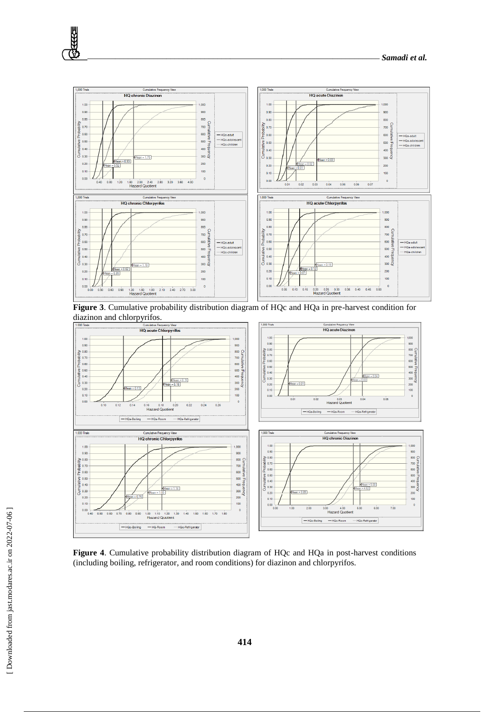

**Figure 3**. Cumulative probability distribution diagram of HQc and HQa in pre-harvest condition for diazinon and chlorpyrifos.



**Figure 4**. Cumulative probability distribution diagram of HQc and HQa in post-harvest conditions (including boiling, refrigerator, and room conditions) for diazinon and chlorpyrifos.

**RRE**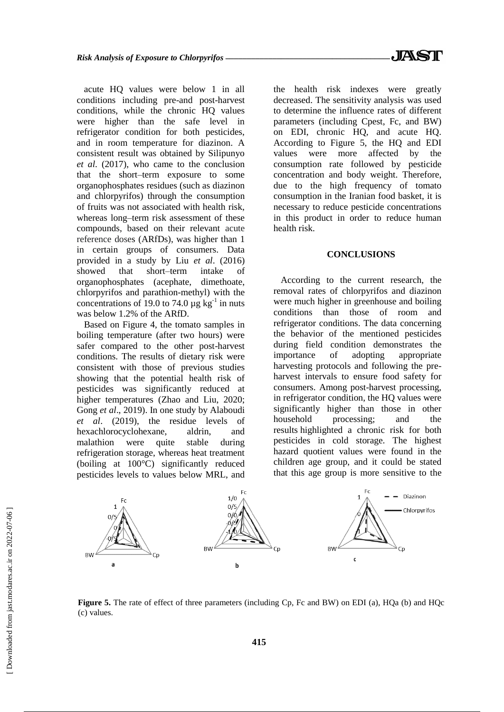acute HQ values were below 1 in all conditions including pre-and post-harvest conditions, while the chronic HQ values were higher than the safe level in refrigerator condition for both pesticides, and in room temperature for diazinon. A consistent result was obtained by Silipunyo *et al*. (2017), who came to the conclusion that the short–term exposure to some organophosphates residues (such as diazinon and chlorpyrifos) through the consumption of fruits was not associated with health risk, whereas long–term risk assessment of these compounds, based on their relevant acute reference doses (ARfDs), was higher than 1 in certain groups of consumers. Data provided in a study by Liu *et al*. (2016) showed that short–term intake of organophosphates (acephate, dimethoate, chlorpyrifos and parathion-methyl) with the concentrations of 19.0 to 74.0  $\mu$ g kg<sup>-1</sup> in nuts was below 1.2% of the ARfD.

Based on Figure 4, the tomato samples in boiling temperature (after two hours) were safer compared to the other post-harvest conditions. The results of dietary risk were consistent with those of previous studies showing that the potential health risk of pesticides was significantly reduced at higher temperatures (Zhao and Liu, 2020; Gong *et al*., 2019). In one study by Alaboudi *et al*. (2019), the residue levels of hexachlorocyclohexane, aldrin, and malathion were quite stable during refrigeration storage, whereas heat treatment (boiling at 100°C) significantly reduced pesticides levels to values below MRL, and

the health risk indexes were greatly decreased. The sensitivity analysis was used to determine the influence rates of different parameters (including Cpest, Fc, and BW) on EDI, chronic HQ, and acute HQ. According to Figure 5, the HQ and EDI values were more affected by the consumption rate followed by pesticide concentration and body weight. Therefore, due to the high frequency of tomato consumption in the Iranian food basket, it is necessary to reduce pesticide concentrations in this product in order to reduce human health risk.

# **CONCLUSIONS**

According to the current research, the removal rates of chlorpyrifos and diazinon were much higher in greenhouse and boiling conditions than those of room and refrigerator conditions. The data concerning the behavior of the mentioned pesticides during field condition demonstrates the importance of adopting appropriate harvesting protocols and following the preharvest intervals to ensure food safety for consumers. Among post-harvest processing, in refrigerator condition, the HQ values were significantly higher than those in other household processing; and the results highlighted a chronic risk for both pesticides in cold storage. The highest hazard quotient values were found in the children age group, and it could be stated that this age group is more sensitive to the



**Figure 5.** The rate of effect of three parameters (including Cp, Fc and BW) on EDI (a), HQa (b) and HQc (c) values.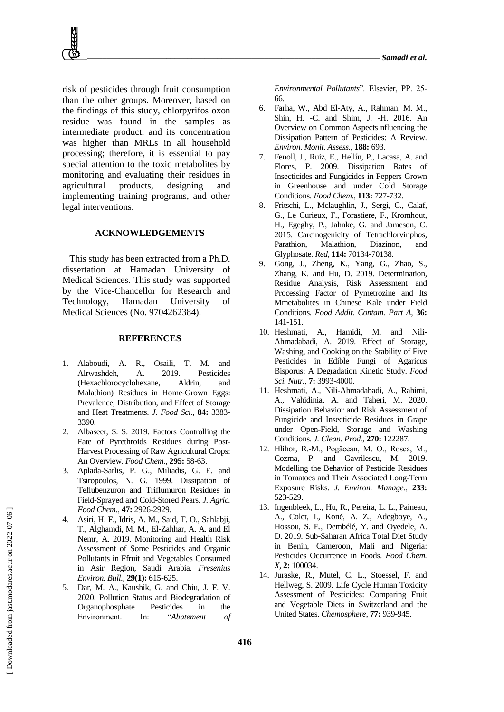risk of pesticides through fruit consumption than the other groups. Moreover, based on the findings of this study, chlorpyrifos oxon residue was found in the samples as intermediate product, and its concentration was higher than MRLs in all household processing; therefore, it is essential to pay special attention to the toxic metabolites by monitoring and evaluating their residues in agricultural products, designing and implementing training programs, and other legal interventions.

## **ACKNOWLEDGEMENTS**

This study has been extracted from a Ph.D. dissertation at Hamadan University of Medical Sciences. This study was supported by the Vice-Chancellor for Research and Technology, Hamadan University of Medical Sciences (No. 9704262384).

# **REFERENCES**

- 1. Alaboudi, A. R., Osaili, T. M. and Alrwashdeh, A. 2019. Pesticides (Hexachlorocyclohexane, Aldrin, and Malathion) Residues in Home‐Grown Eggs: Prevalence, Distribution, and Effect of Storage and Heat Treatments. *J. Food Sci.,* **84:** 3383- 3390.
- 2. Albaseer, S. S. 2019. Factors Controlling the Fate of Pyrethroids Residues during Post-Harvest Processing of Raw Agricultural Crops: An Overview. *Food Chem.,* **295:** 58-63.
- 3. Aplada-Sarlis, P. G., Miliadis, G. E. and Tsiropoulos, N. G. 1999. Dissipation of Teflubenzuron and Triflumuron Residues in Field-Sprayed and Cold-Stored Pears. *J. Agric. Food Chem.,* **47:** 2926-2929.
- 4. Asiri, H. F., Idris, A. M., Said, T. O., Sahlabji, T., Alghamdi, M. M., El-Zahhar, A. A. and El Nemr, A. 2019. Monitoring and Health Risk Assessment of Some Pesticides and Organic Pollutants in Ffruit and Vegetables Consumed in Asir Region, Saudi Arabia. *Fresenius Environ. Bull.,* **29(1):** 615-625.
- 5. Dar, M. A., Kaushik, G. and Chiu, J. F. V. 2020. Pollution Status and Biodegradation of Organophosphate Pesticides in the Environment. In: "*Abatement of*

*Environmental Pollutants*". Elsevier, PP. 25- 66.

- 6. Farha, W., Abd El-Aty, A., Rahman, M. M., Shin, H. -C. and Shim, J. -H. 2016. An Overview on Common Aspects nfluencing the Dissipation Pattern of Pesticides: A Review. *Environ. Monit. Assess.,* **188:** 693.
- 7. Fenoll, J., Ruiz, E., Hellín, P., Lacasa, A. and Flores, P. 2009. Dissipation Rates of Insecticides and Fungicides in Peppers Grown in Greenhouse and under Cold Storage Conditions. *Food Chem.,* **113:** 727-732.
- 8. Fritschi, L., Mclaughlin, J., Sergi, C., Calaf, G., Le Curieux, F., Forastiere, F., Kromhout, H., Egeghy, P., Jahnke, G. and Jameson, C. 2015. Carcinogenicity of Tetrachlorvinphos, Parathion, Malathion, Diazinon, and Glyphosate. *Red,* **114:** 70134-70138.
- 9. Gong, J., Zheng, K., Yang, G., Zhao, S., Zhang, K. and Hu, D. 2019. Determination, Residue Analysis, Risk Assessment and Processing Factor of Pymetrozine and Its Mmetabolites in Chinese Kale under Field Conditions. *Food Addit. Contam. Part A,* **36:** 141-151.
- 10. Heshmati, A., Hamidi, M. and Nili‐ Ahmadabadi, A. 2019. Effect of Storage, Washing, and Cooking on the Stability of Five Pesticides in Edible Fungi of Agaricus Bisporus: A Degradation Kinetic Study. *Food Sci. Nutr.,* **7:** 3993-4000.
- 11. Heshmati, A., Nili-Ahmadabadi, A., Rahimi, A., Vahidinia, A. and Taheri, M. 2020. Dissipation Behavior and Risk Assessment of Fungicide and Insecticide Residues in Grape under Open-Field, Storage and Washing Conditions. *J. Clean. Prod.,* **270:** 122287.
- 12. Hlihor, R.-M., Pogăcean, M. O., Rosca, M., Cozma, P. and Gavrilescu, M. 2019. Modelling the Behavior of Pesticide Residues in Tomatoes and Their Associated Long-Term Exposure Risks. *J. Environ. Manage.,* **233:** 523-529.
- 13. Ingenbleek, L., Hu, R., Pereira, L. L., Paineau, A., Colet, I., Koné, A. Z., Adegboye, A., Hossou, S. E., Dembélé, Y. and Oyedele, A. D. 2019. Sub-Saharan Africa Total Diet Study in Benin, Cameroon, Mali and Nigeria: Pesticides Occurrence in Foods. *Food Chem. X,* **2:** 100034.
- 14. Juraske, R., Mutel, C. L., Stoessel, F. and Hellweg, S. 2009. Life Cycle Human Toxicity Assessment of Pesticides: Comparing Fruit and Vegetable Diets in Switzerland and the United States. *Chemosphere,* **77:** 939-945.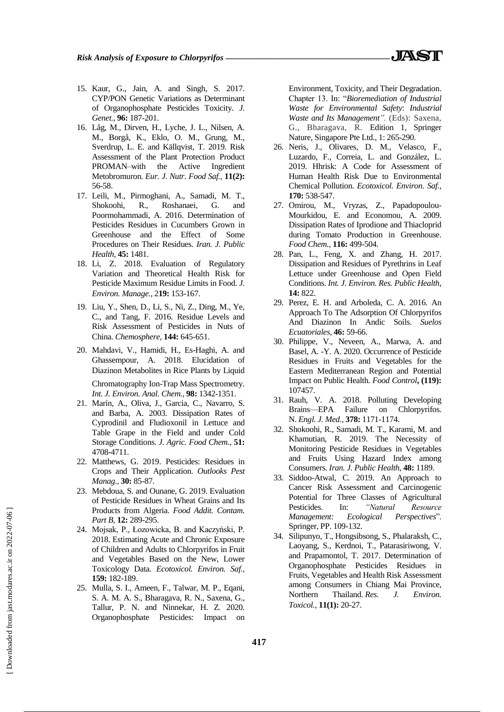- 15. Kaur, G., Jain, A. and Singh, S. 2017. CYP/PON Genetic Variations as Determinant of Organophosphate Pesticides Toxicity. *J. Genet.,* **96:** 187-201.
- 16. Låg, M., Dirven, H., Lyche, J. L., Nilsen, A. M., Borgå, K., Eklo, O. M., Grung, M., Sverdrup, L. E. and Källqvist, T. 2019. Risk Assessment of the Plant Protection Product PROMAN–with the Active Ingredient Metobromuron. *Eur. J*. *Nutr. Food Saf.,* **11(2):** 56-58.
- 17. Leili, M., Pirmoghani, A., Samadi, M. T., Shokoohi, R., Roshanaei, G. and Poormohammadi, A. 2016. Determination of Pesticides Residues in Cucumbers Grown in Greenhouse and the Effect of Some Procedures on Their Residues. *Iran. J. Public Health,* **45:** 1481.
- 18. Li, Z. 2018. Evaluation of Regulatory Variation and Theoretical Health Risk for Pesticide Maximum Residue Limits in Food. *J. Environ. Manage.*, 2**19:** 153-167.
- 19. Liu, Y., Shen, D., Li, S., Ni, Z., Ding, M., Ye, C., and Tang, F. 2016. Residue Levels and Risk Assessment of Pesticides in Nuts of China. *Chemosphere*, **144:** 645-651.
- 20. Mahdavi, V., Hamidi, H., Es-Haghi, A. and Ghassempour, A. 2018. Elucidation of Diazinon Metabolites in Rice Plants by Liquid Chromatography Ion-Trap Mass Spectrometry. *Int. J. Environ. Anal. Chem.,* **98:** 1342-1351.
- 21. Marín, A., Oliva, J., Garcia, C., Navarro, S. and Barba, A. 2003. Dissipation Rates of Cyprodinil and Fludioxonil in Lettuce and Table Grape in the Field and under Cold Storage Conditions. *J. Agric. Food Chem.,* **51:** 4708-4711.
- 22. Matthews, G. 2019. Pesticides: Residues in Crops and Their Application. *Outlooks Pest Manag.,* **30:** 85-87.
- 23. Mebdoua, S. and Ounane, G. 2019. Evaluation of Pesticide Residues in Wheat Grains and Its Products from Algeria. *Food Addit. Contam. Part B,* **12:** 289-295.
- 24. Mojsak, P., Łozowicka, B. and Kaczyński, P. 2018. Estimating Acute and Chronic Exposure of Children and Adults to Chlorpyrifos in Fruit and Vegetables Based on the New, Lower Toxicology Data. *Ecotoxicol. Environ. Saf.,* **159:** 182-189.
- 25. Mulla, S. I., Ameen, F., Talwar, M. P., Eqani, S. A. M. A. S., Bharagava, R. N., Saxena, G., Tallur, P. N. and Ninnekar, H. Z. 2020. Organophosphate Pesticides: Impact on

Environment, Toxicity, and Their Degradation. Chapter 13. In: "*Bioremediation of Industrial Waste for Environmental Safety*: *Industrial Waste and Its Management".* (Eds): Saxena, G., Bharagava, R. Edition 1, Springer Nature, Singapore Pte Ltd., 1: 265-290.

- 26. Neris, J., Olivares, D. M., Velasco, F., Luzardo, F., Correia, L. and González, L. 2019. Hhrisk: A Code for Assessment of Human Health Risk Due to Environmental Chemical Pollution. *Ecotoxicol. Environ. Saf.,* **170:** 538-547.
- 27. Omirou, M., Vryzas, Z., Papadopoulou-Mourkidou, E. and Economou, A. 2009. Dissipation Rates of Iprodione and Thiacloprid during Tomato Production in Greenhouse. *Food Chem.,* **116:** 499-504.
- 28. Pan, L., Feng, X. and Zhang, H. 2017. Dissipation and Residues of Pyrethrins in Leaf Lettuce under Greenhouse and Open Field Conditions. *Int. J. Environ. Res. Public Health,* **14:** 822.
- 29. Perez, E. H. and Arboleda, C. A. 2016. An Approach To The Adsorption Of Chlorpyrifos And Diazinon In Andic Soils. *Suelos Ecuatoriales,* **46:** 59-66.
- 30. Philippe, V., Neveen, A., Marwa, A. and Basel, A. -Y. A. 2020. Occurrence of Pesticide Residues in Fruits and Vegetables for the Eastern Mediterranean Region and Potential Impact on Public Health. *Food Control***, (119):** 107457.
- 31. Rauh, V. A. 2018. Polluting Developing Brains—EPA Failure on Chlorpyrifos. N. *Engl. J. Med.*, **378:** 1171-1174.
- 32. Shokoohi, R., Samadi, M. T., Karami, M. and Khamutian, R. 2019. The Necessity of Monitoring Pesticide Residues in Vegetables and Fruits Using Hazard Index among Consumers. *Iran. J. Public Health,* **48:** 1189.
- 33. Siddoo-Atwal, C. 2019. An Approach to Cancer Risk Assessment and Carcinogenic Potential for Three Classes of Agricultural Pesticides. In: *"Natural Resource Management: Ecological Perspectives*"*.* Springer, PP. 109-132.
- 34. Silipunyo, T., Hongsibsong, S., Phalaraksh, C., Laoyang, S., Kerdnoi, T., Patarasiriwong, V. and Prapamontol, T. 2017. Determination of Organophosphate Pesticides Residues in Fruits, Vegetables and Health Risk Assessment among Consumers in Chiang Mai Province, Northern Thailand. *Res. J. Environ. Toxicol.*, **11(1):** 20-27.